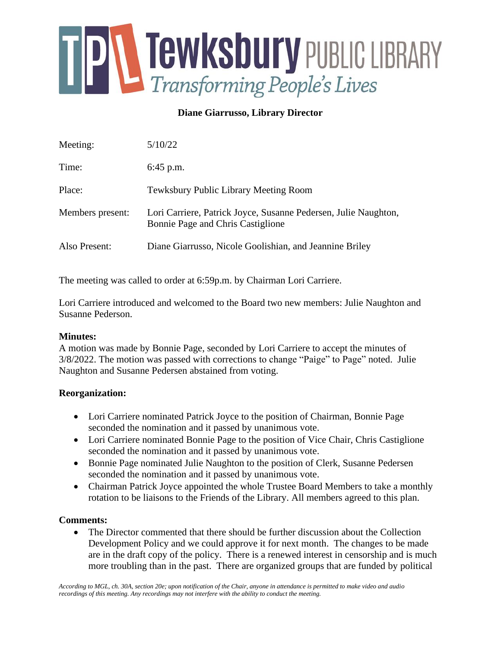

**Diane Giarrusso, Library Director**

| Meeting:         | 5/10/22                                                                                              |
|------------------|------------------------------------------------------------------------------------------------------|
| Time:            | $6:45$ p.m.                                                                                          |
| Place:           | Tewksbury Public Library Meeting Room                                                                |
| Members present: | Lori Carriere, Patrick Joyce, Susanne Pedersen, Julie Naughton,<br>Bonnie Page and Chris Castiglione |
| Also Present:    | Diane Giarrusso, Nicole Goolishian, and Jeannine Briley                                              |

The meeting was called to order at 6:59p.m. by Chairman Lori Carriere.

Lori Carriere introduced and welcomed to the Board two new members: Julie Naughton and Susanne Pederson.

# **Minutes:**

A motion was made by Bonnie Page, seconded by Lori Carriere to accept the minutes of 3/8/2022. The motion was passed with corrections to change "Paige" to Page" noted. Julie Naughton and Susanne Pedersen abstained from voting.

# **Reorganization:**

- Lori Carriere nominated Patrick Joyce to the position of Chairman, Bonnie Page seconded the nomination and it passed by unanimous vote.
- Lori Carriere nominated Bonnie Page to the position of Vice Chair, Chris Castiglione seconded the nomination and it passed by unanimous vote.
- Bonnie Page nominated Julie Naughton to the position of Clerk, Susanne Pedersen seconded the nomination and it passed by unanimous vote.
- Chairman Patrick Joyce appointed the whole Trustee Board Members to take a monthly rotation to be liaisons to the Friends of the Library. All members agreed to this plan.

# **Comments:**

• The Director commented that there should be further discussion about the Collection Development Policy and we could approve it for next month. The changes to be made are in the draft copy of the policy. There is a renewed interest in censorship and is much more troubling than in the past. There are organized groups that are funded by political